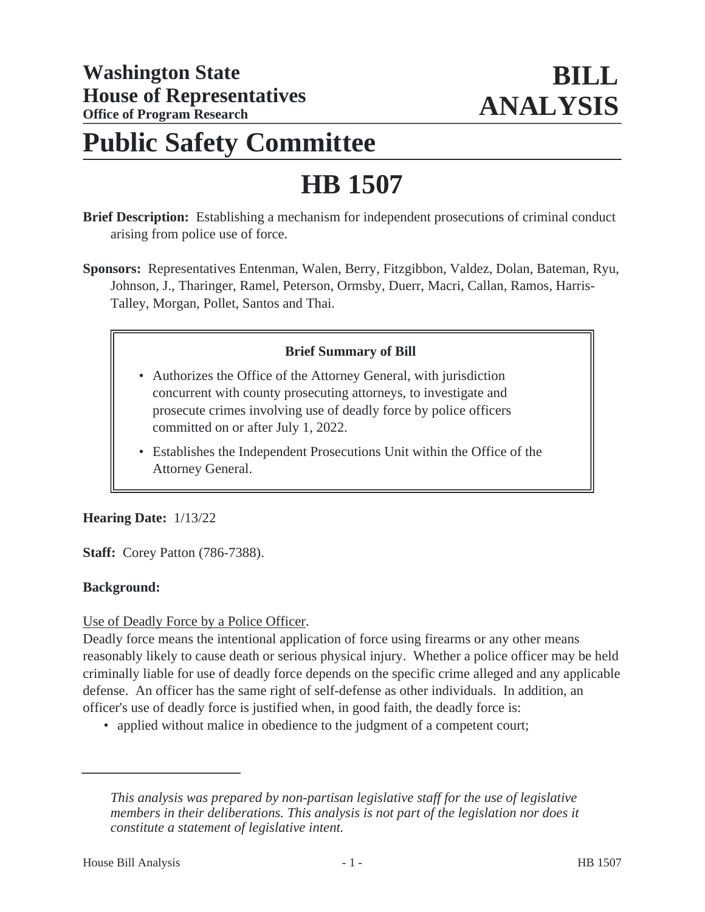# **Public Safety Committee**

# **HB 1507**

**Brief Description:** Establishing a mechanism for independent prosecutions of criminal conduct arising from police use of force.

**Sponsors:** Representatives Entenman, Walen, Berry, Fitzgibbon, Valdez, Dolan, Bateman, Ryu, Johnson, J., Tharinger, Ramel, Peterson, Ormsby, Duerr, Macri, Callan, Ramos, Harris-Talley, Morgan, Pollet, Santos and Thai.

## **Brief Summary of Bill**

- Authorizes the Office of the Attorney General, with jurisdiction concurrent with county prosecuting attorneys, to investigate and prosecute crimes involving use of deadly force by police officers committed on or after July 1, 2022.
- Establishes the Independent Prosecutions Unit within the Office of the Attorney General.

#### **Hearing Date:** 1/13/22

**Staff:** Corey Patton (786-7388).

#### **Background:**

Use of Deadly Force by a Police Officer.

Deadly force means the intentional application of force using firearms or any other means reasonably likely to cause death or serious physical injury. Whether a police officer may be held criminally liable for use of deadly force depends on the specific crime alleged and any applicable defense. An officer has the same right of self-defense as other individuals. In addition, an officer's use of deadly force is justified when, in good faith, the deadly force is:

• applied without malice in obedience to the judgment of a competent court;

*This analysis was prepared by non-partisan legislative staff for the use of legislative members in their deliberations. This analysis is not part of the legislation nor does it constitute a statement of legislative intent.*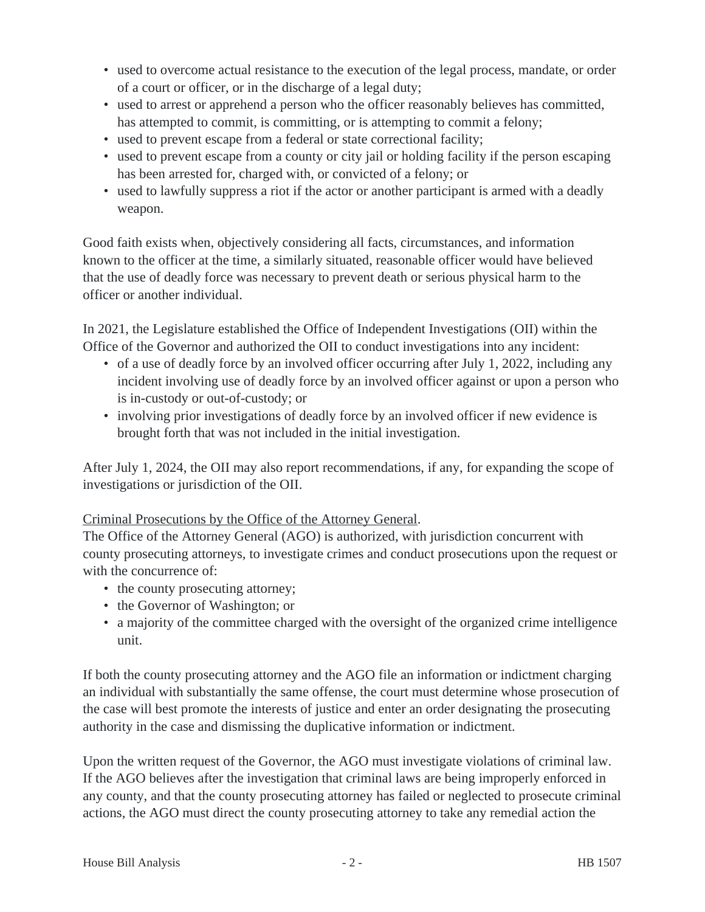- used to overcome actual resistance to the execution of the legal process, mandate, or order of a court or officer, or in the discharge of a legal duty;
- used to arrest or apprehend a person who the officer reasonably believes has committed, has attempted to commit, is committing, or is attempting to commit a felony;
- used to prevent escape from a federal or state correctional facility;
- used to prevent escape from a county or city jail or holding facility if the person escaping has been arrested for, charged with, or convicted of a felony; or
- used to lawfully suppress a riot if the actor or another participant is armed with a deadly weapon.

Good faith exists when, objectively considering all facts, circumstances, and information known to the officer at the time, a similarly situated, reasonable officer would have believed that the use of deadly force was necessary to prevent death or serious physical harm to the officer or another individual.

In 2021, the Legislature established the Office of Independent Investigations (OII) within the Office of the Governor and authorized the OII to conduct investigations into any incident:

- of a use of deadly force by an involved officer occurring after July 1, 2022, including any incident involving use of deadly force by an involved officer against or upon a person who is in-custody or out-of-custody; or
- involving prior investigations of deadly force by an involved officer if new evidence is brought forth that was not included in the initial investigation.

After July 1, 2024, the OII may also report recommendations, if any, for expanding the scope of investigations or jurisdiction of the OII.

#### Criminal Prosecutions by the Office of the Attorney General.

The Office of the Attorney General (AGO) is authorized, with jurisdiction concurrent with county prosecuting attorneys, to investigate crimes and conduct prosecutions upon the request or with the concurrence of:

- the county prosecuting attorney;
- the Governor of Washington; or
- a majority of the committee charged with the oversight of the organized crime intelligence unit.

If both the county prosecuting attorney and the AGO file an information or indictment charging an individual with substantially the same offense, the court must determine whose prosecution of the case will best promote the interests of justice and enter an order designating the prosecuting authority in the case and dismissing the duplicative information or indictment.

Upon the written request of the Governor, the AGO must investigate violations of criminal law. If the AGO believes after the investigation that criminal laws are being improperly enforced in any county, and that the county prosecuting attorney has failed or neglected to prosecute criminal actions, the AGO must direct the county prosecuting attorney to take any remedial action the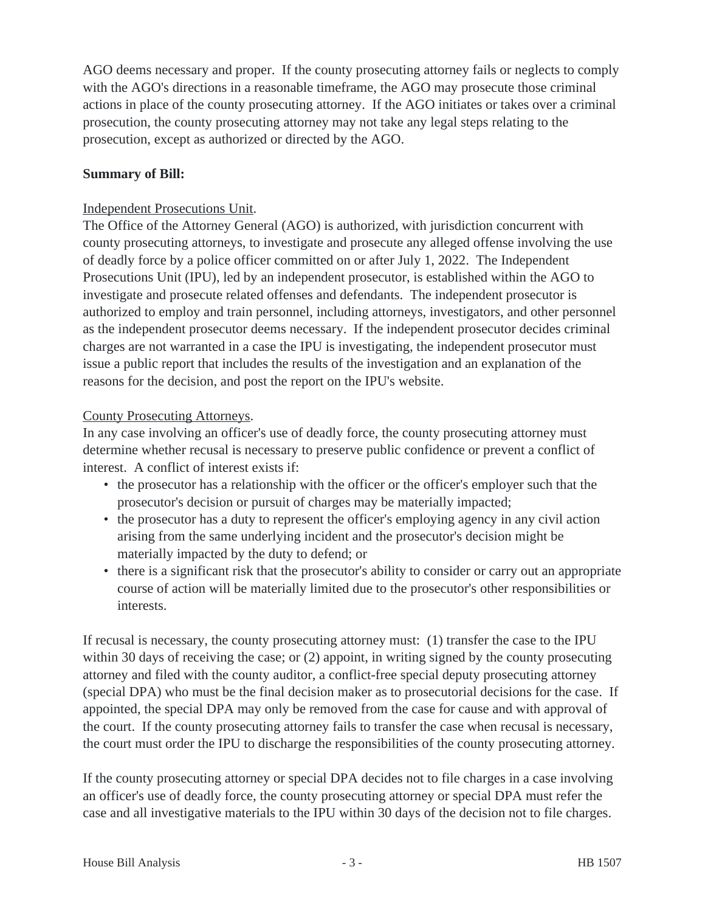AGO deems necessary and proper. If the county prosecuting attorney fails or neglects to comply with the AGO's directions in a reasonable timeframe, the AGO may prosecute those criminal actions in place of the county prosecuting attorney. If the AGO initiates or takes over a criminal prosecution, the county prosecuting attorney may not take any legal steps relating to the prosecution, except as authorized or directed by the AGO.

#### **Summary of Bill:**

#### Independent Prosecutions Unit.

The Office of the Attorney General (AGO) is authorized, with jurisdiction concurrent with county prosecuting attorneys, to investigate and prosecute any alleged offense involving the use of deadly force by a police officer committed on or after July 1, 2022. The Independent Prosecutions Unit (IPU), led by an independent prosecutor, is established within the AGO to investigate and prosecute related offenses and defendants. The independent prosecutor is authorized to employ and train personnel, including attorneys, investigators, and other personnel as the independent prosecutor deems necessary. If the independent prosecutor decides criminal charges are not warranted in a case the IPU is investigating, the independent prosecutor must issue a public report that includes the results of the investigation and an explanation of the reasons for the decision, and post the report on the IPU's website.

## County Prosecuting Attorneys.

In any case involving an officer's use of deadly force, the county prosecuting attorney must determine whether recusal is necessary to preserve public confidence or prevent a conflict of interest. A conflict of interest exists if:

- the prosecutor has a relationship with the officer or the officer's employer such that the prosecutor's decision or pursuit of charges may be materially impacted;
- the prosecutor has a duty to represent the officer's employing agency in any civil action arising from the same underlying incident and the prosecutor's decision might be materially impacted by the duty to defend; or
- there is a significant risk that the prosecutor's ability to consider or carry out an appropriate course of action will be materially limited due to the prosecutor's other responsibilities or interests.

If recusal is necessary, the county prosecuting attorney must: (1) transfer the case to the IPU within 30 days of receiving the case; or (2) appoint, in writing signed by the county prosecuting attorney and filed with the county auditor, a conflict-free special deputy prosecuting attorney (special DPA) who must be the final decision maker as to prosecutorial decisions for the case. If appointed, the special DPA may only be removed from the case for cause and with approval of the court. If the county prosecuting attorney fails to transfer the case when recusal is necessary, the court must order the IPU to discharge the responsibilities of the county prosecuting attorney.

If the county prosecuting attorney or special DPA decides not to file charges in a case involving an officer's use of deadly force, the county prosecuting attorney or special DPA must refer the case and all investigative materials to the IPU within 30 days of the decision not to file charges.